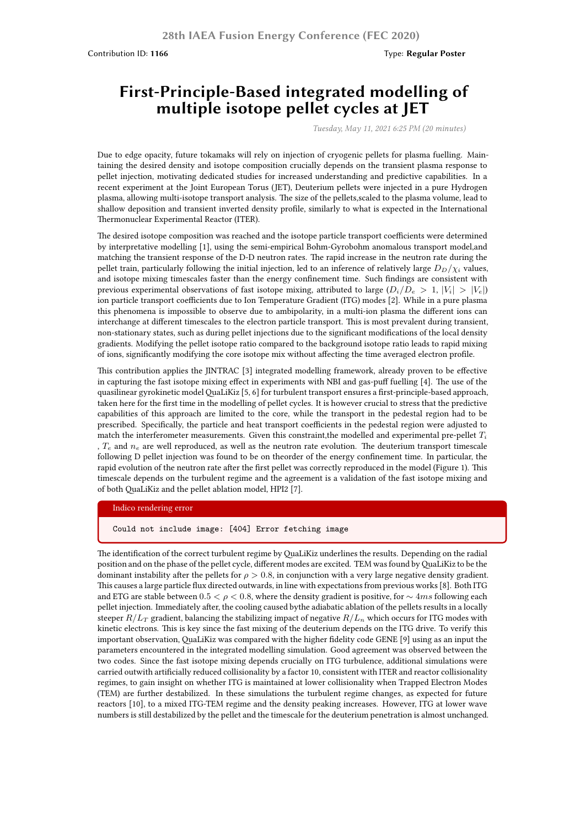Contribution ID: **1166** Type: **Regular Poster** 

# **First-Principle-Based integrated modelling of multiple isotope pellet cycles at JET**

*Tuesday, May 11, 2021 6:25 PM (20 minutes)*

Due to edge opacity, future tokamaks will rely on injection of cryogenic pellets for plasma fuelling. Maintaining the desired density and isotope composition crucially depends on the transient plasma response to pellet injection, motivating dedicated studies for increased understanding and predictive capabilities. In a recent experiment at the Joint European Torus (JET), Deuterium pellets were injected in a pure Hydrogen plasma, allowing multi-isotope transport analysis. The size of the pellets,scaled to the plasma volume, lead to shallow deposition and transient inverted density profile, similarly to what is expected in the International Thermonuclear Experimental Reactor (ITER).

The desired isotope composition was reached and the isotope particle transport coefficients were determined by interpretative modelling [1], using the semi-empirical Bohm-Gyrobohm anomalous transport model,and matching the transient response of the D-D neutron rates. The rapid increase in the neutron rate during the pellet train, particularly following the initial injection, led to an inference of relatively large  $D_D/\chi_i$  values, and isotope mixing timescales faster than the energy confinement time. Such findings are consistent with previous experimental observations of fast isotope mixing, attributed to large  $(D_i/D_e > 1, |V_i| > |V_e|)$ ion particle transport coefficients due to Ion Temperature Gradient (ITG) modes [2]. While in a pure plasma this phenomena is impossible to observe due to ambipolarity, in a multi-ion plasma the different ions can interchange at different timescales to the electron particle transport. This is most prevalent during transient, non-stationary states, such as during pellet injections due to the significant modifications of the local density gradients. Modifying the pellet isotope ratio compared to the background isotope ratio leads to rapid mixing of ions, significantly modifying the core isotope mix without affecting the time averaged electron profile.

This contribution applies the JINTRAC [3] integrated modelling framework, already proven to be effective in capturing the fast isotope mixing effect in experiments with NBI and gas-puff fuelling [4]. The use of the quasilinear gyrokinetic modelQuaLiKiz [5, 6] for turbulent transport ensures a first-principle-based approach, taken here for the first time in the modelling of pellet cycles. It is however crucial to stress that the predictive capabilities of this approach are limited to the core, while the transport in the pedestal region had to be prescribed. Specifically, the particle and heat transport coefficients in the pedestal region were adjusted to match the interferometer measurements. Given this constraint,the modelled and experimental pre-pellet *T<sup>i</sup>* , *T<sup>e</sup>* and *n<sup>e</sup>* are well reproduced, as well as the neutron rate evolution. The deuterium transport timescale following D pellet injection was found to be on theorder of the energy confinement time. In particular, the rapid evolution of the neutron rate after the first pellet was correctly reproduced in the model (Figure 1). This timescale depends on the turbulent regime and the agreement is a validation of the fast isotope mixing and of both QuaLiKiz and the pellet ablation model, HPI2 [7].

#### Indico rendering error

Could not include image: [404] Error fetching image

The identification of the correct turbulent regime byQuaLiKiz underlines the results. Depending on the radial position and on the phase of the pellet cycle, different modes are excited. TEM was found byQuaLiKiz to be the dominant instability after the pellets for  $\rho > 0.8$ , in conjunction with a very large negative density gradient. This causes a large particle flux directed outwards, in line with expectations from previous works [8]. Both ITG and ETG are stable between  $0.5 < \rho < 0.8$ , where the density gradient is positive, for  $\sim 4ms$  following each pellet injection. Immediately after, the cooling caused bythe adiabatic ablation of the pellets results in a locally steeper  $R/L_T$  gradient, balancing the stabilizing impact of negative  $R/L_n$  which occurs for ITG modes with kinetic electrons. This is key since the fast mixing of the deuterium depends on the ITG drive. To verify this important observation, QuaLiKiz was compared with the higher fidelity code GENE [9] using as an input the parameters encountered in the integrated modelling simulation. Good agreement was observed between the two codes. Since the fast isotope mixing depends crucially on ITG turbulence, additional simulations were carried outwith artificially reduced collisionality by a factor 10, consistent with ITER and reactor collisionality regimes, to gain insight on whether ITG is maintained at lower collisionality when Trapped Electron Modes (TEM) are further destabilized. In these simulations the turbulent regime changes, as expected for future reactors [10], to a mixed ITG-TEM regime and the density peaking increases. However, ITG at lower wave numbers is still destabilized by the pellet and the timescale for the deuterium penetration is almost unchanged.